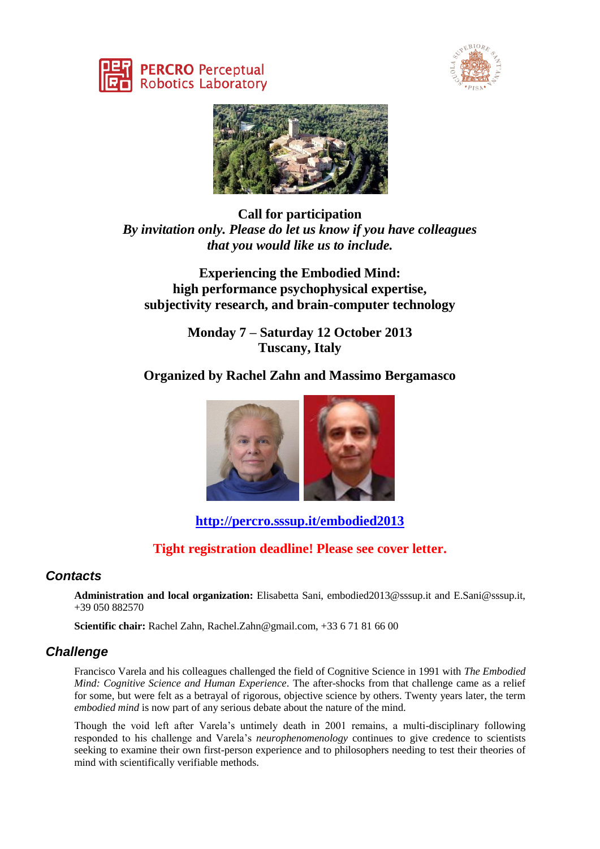





**Call for participation** *By invitation only. Please do let us know if you have colleagues that you would like us to include.*

**Experiencing the Embodied Mind: high performance psychophysical expertise, subjectivity research, and brain-computer technology**

> **Monday 7 – Saturday 12 October 2013 Tuscany, Italy**

# **Organized by Rachel Zahn and Massimo Bergamasco**



# **<http://percro.sssup.it/embodied2013>**

# **Tight registration deadline! Please see cover letter.**

## *Contacts*

**Administration and local organization:** Elisabetta Sani, embodied2013@sssup.it and E.Sani@sssup.it, +39 050 882570

**Scientific chair:** Rachel Zahn, Rachel.Zahn@gmail.com, +33 6 71 81 66 00

## *Challenge*

Francisco Varela and his colleagues challenged the field of Cognitive Science in 1991 with *The Embodied Mind: Cognitive Science and Human Experience*. The after-shocks from that challenge came as a relief for some, but were felt as a betrayal of rigorous, objective science by others. Twenty years later, the term *embodied mind* is now part of any serious debate about the nature of the mind.

Though the void left after Varela's untimely death in 2001 remains, a multi-disciplinary following responded to his challenge and Varela's *neurophenomenology* continues to give credence to scientists seeking to examine their own first-person experience and to philosophers needing to test their theories of mind with scientifically verifiable methods.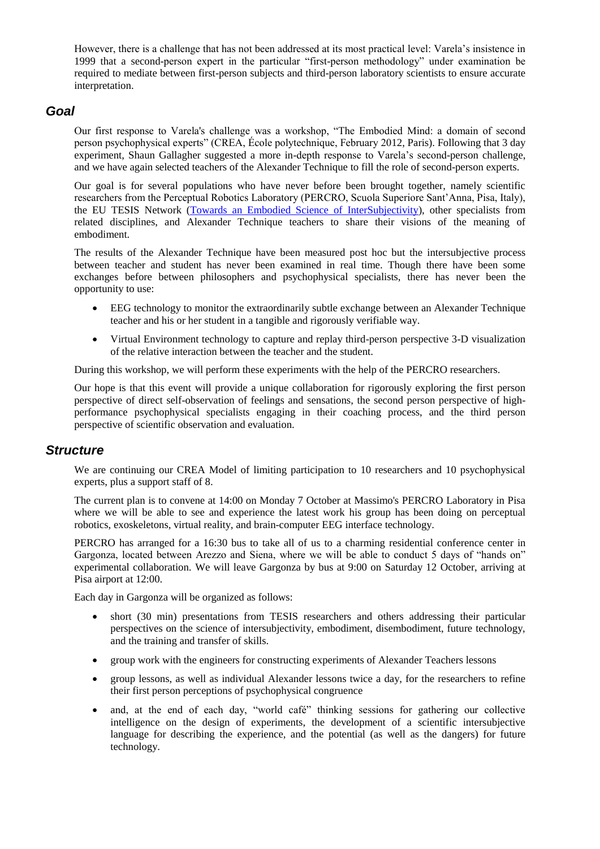However, there is a challenge that has not been addressed at its most practical level: Varela's insistence in 1999 that a second-person expert in the particular "first-person methodology" under examination be required to mediate between first-person subjects and third-person laboratory scientists to ensure accurate interpretation.

#### *Goal*

Our first response to Varela's challenge was a workshop, "The Embodied Mind: a domain of second person psychophysical experts" (CREA, École polytechnique, February 2012, Paris). Following that 3 day experiment, Shaun Gallagher suggested a more in-depth response to Varela's second-person challenge, and we have again selected teachers of the Alexander Technique to fill the role of second-person experts.

Our goal is for several populations who have never before been brought together, namely scientific researchers from the Perceptual Robotics Laboratory (PERCRO, Scuola Superiore Sant'Anna, Pisa, Italy), the EU TESIS Network [\(Towards an Embodied Science of InterSubjectivity\)](http://tesisnetwork.wordpress.com/), other specialists from related disciplines, and Alexander Technique teachers to share their visions of the meaning of embodiment.

The results of the Alexander Technique have been measured post hoc but the intersubjective process between teacher and student has never been examined in real time. Though there have been some exchanges before between philosophers and psychophysical specialists, there has never been the opportunity to use:

- EEG technology to monitor the extraordinarily subtle exchange between an Alexander Technique teacher and his or her student in a tangible and rigorously verifiable way.
- Virtual Environment technology to capture and replay third-person perspective 3-D visualization of the relative interaction between the teacher and the student.

During this workshop, we will perform these experiments with the help of the PERCRO researchers.

Our hope is that this event will provide a unique collaboration for rigorously exploring the first person perspective of direct self-observation of feelings and sensations, the second person perspective of highperformance psychophysical specialists engaging in their coaching process, and the third person perspective of scientific observation and evaluation.

#### *Structure*

We are continuing our CREA Model of limiting participation to 10 researchers and 10 psychophysical experts, plus a support staff of 8.

The current plan is to convene at 14:00 on Monday 7 October at Massimo's PERCRO Laboratory in Pisa where we will be able to see and experience the latest work his group has been doing on perceptual robotics, exoskeletons, virtual reality, and brain-computer EEG interface technology.

PERCRO has arranged for a 16:30 bus to take all of us to a charming residential conference center in Gargonza, located between Arezzo and Siena, where we will be able to conduct 5 days of "hands on" experimental collaboration. We will leave Gargonza by bus at 9:00 on Saturday 12 October, arriving at Pisa airport at 12:00.

Each day in Gargonza will be organized as follows:

- short (30 min) presentations from TESIS researchers and others addressing their particular perspectives on the science of intersubjectivity, embodiment, disembodiment, future technology, and the training and transfer of skills.
- group work with the engineers for constructing experiments of Alexander Teachers lessons
- group lessons, as well as individual Alexander lessons twice a day, for the researchers to refine their first person perceptions of psychophysical congruence
- and, at the end of each day, "world café" thinking sessions for gathering our collective intelligence on the design of experiments, the development of a scientific intersubjective language for describing the experience, and the potential (as well as the dangers) for future technology.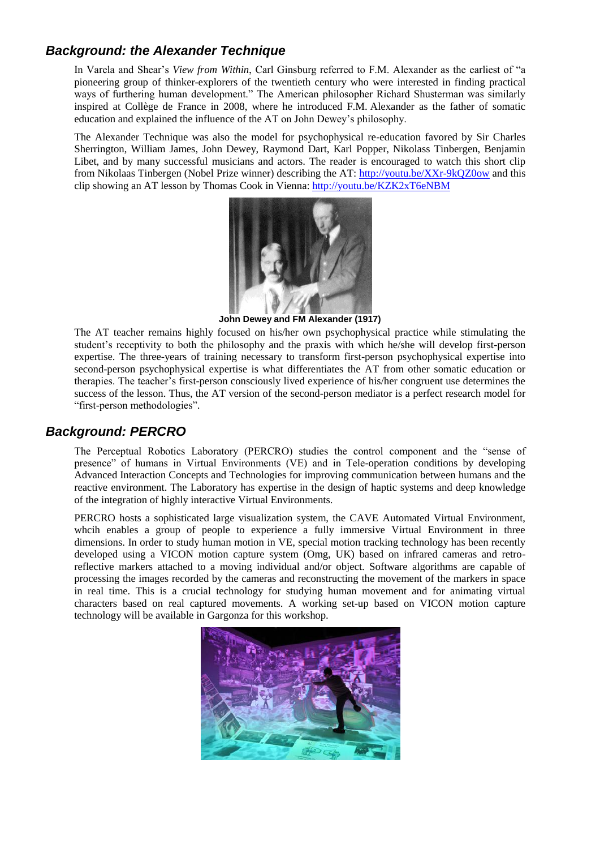# *Background: the Alexander Technique*

In Varela and Shear's *View from Within*, Carl Ginsburg referred to F.M. Alexander as the earliest of "a pioneering group of thinker-explorers of the twentieth century who were interested in finding practical ways of furthering human development." The American philosopher Richard Shusterman was similarly inspired at Collège de France in 2008, where he introduced F.M. Alexander as the father of somatic education and explained the influence of the AT on John Dewey's philosophy.

The Alexander Technique was also the model for psychophysical re-education favored by Sir Charles Sherrington, William James, John Dewey, Raymond Dart, Karl Popper, Nikolass Tinbergen, Benjamin Libet, and by many successful musicians and actors. The reader is encouraged to watch this short clip from Nikolaas Tinbergen (Nobel Prize winner) describing the AT:<http://youtu.be/XXr-9kQZ0ow> and this clip showing an AT lesson by Thomas Cook in Vienna:<http://youtu.be/KZK2xT6eNBM>



**John Dewey and FM Alexander (1917)**

The AT teacher remains highly focused on his/her own psychophysical practice while stimulating the student's receptivity to both the philosophy and the praxis with which he/she will develop first-person expertise. The three-years of training necessary to transform first-person psychophysical expertise into second-person psychophysical expertise is what differentiates the AT from other somatic education or therapies. The teacher's first-person consciously lived experience of his/her congruent use determines the success of the lesson. Thus, the AT version of the second-person mediator is a perfect research model for "first-person methodologies".

## *Background: PERCRO*

The Perceptual Robotics Laboratory (PERCRO) studies the control component and the "sense of presence" of humans in Virtual Environments (VE) and in Tele-operation conditions by developing Advanced Interaction Concepts and Technologies for improving communication between humans and the reactive environment. The Laboratory has expertise in the design of haptic systems and deep knowledge of the integration of highly interactive Virtual Environments.

PERCRO hosts a sophisticated large visualization system, the CAVE Automated Virtual Environment, whcih enables a group of people to experience a fully immersive Virtual Environment in three dimensions. In order to study human motion in VE, special motion tracking technology has been recently developed using a VICON motion capture system (Omg, UK) based on infrared cameras and retroreflective markers attached to a moving individual and/or object. Software algorithms are capable of processing the images recorded by the cameras and reconstructing the movement of the markers in space in real time. This is a crucial technology for studying human movement and for animating virtual characters based on real captured movements. A working set-up based on VICON motion capture technology will be available in Gargonza for this workshop.

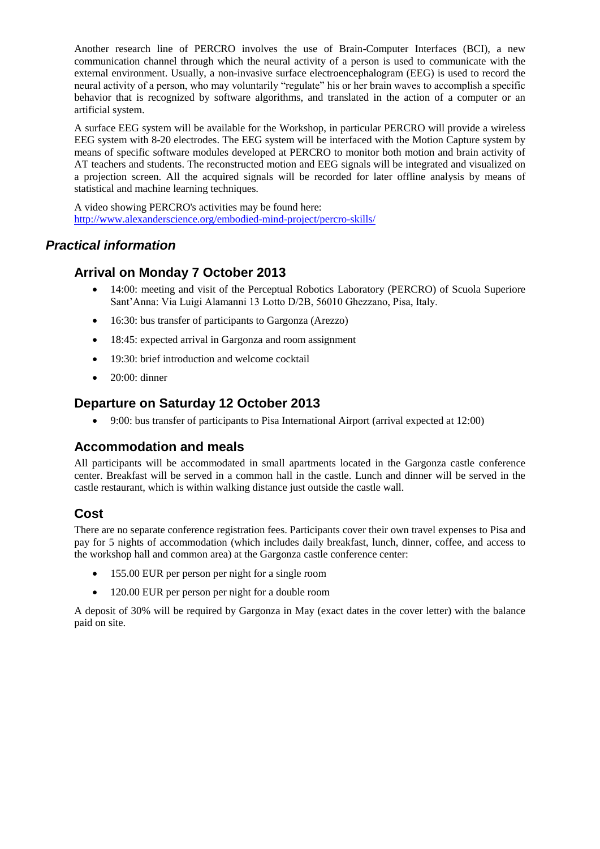Another research line of PERCRO involves the use of Brain-Computer Interfaces (BCI), a new communication channel through which the neural activity of a person is used to communicate with the external environment. Usually, a non-invasive surface electroencephalogram (EEG) is used to record the neural activity of a person, who may voluntarily "regulate" his or her brain waves to accomplish a specific behavior that is recognized by software algorithms, and translated in the action of a computer or an artificial system.

A surface EEG system will be available for the Workshop, in particular PERCRO will provide a wireless EEG system with 8-20 electrodes. The EEG system will be interfaced with the Motion Capture system by means of specific software modules developed at PERCRO to monitor both motion and brain activity of AT teachers and students. The reconstructed motion and EEG signals will be integrated and visualized on a projection screen. All the acquired signals will be recorded for later offline analysis by means of statistical and machine learning techniques.

A video showing PERCRO's activities may be found here: http://www.alexanderscience.org/embodied-mind-project/percro-skills/

# *Practical information*

## **Arrival on Monday 7 October 2013**

- 14:00: meeting and visit of the Perceptual Robotics Laboratory (PERCRO) of Scuola Superiore Sant'Anna: Via Luigi Alamanni 13 Lotto D/2B, 56010 Ghezzano, Pisa, Italy.
- 16:30: bus transfer of participants to Gargonza (Arezzo)
- 18:45: expected arrival in Gargonza and room assignment
- 19:30: brief introduction and welcome cocktail
- $\bullet$  20:00: dinner

#### **Departure on Saturday 12 October 2013**

9:00: bus transfer of participants to Pisa International Airport (arrival expected at 12:00)

## **Accommodation and meals**

All participants will be accommodated in small apartments located in the Gargonza castle conference center. Breakfast will be served in a common hall in the castle. Lunch and dinner will be served in the castle restaurant, which is within walking distance just outside the castle wall.

#### **Cost**

There are no separate conference registration fees. Participants cover their own travel expenses to Pisa and pay for 5 nights of accommodation (which includes daily breakfast, lunch, dinner, coffee, and access to the workshop hall and common area) at the Gargonza castle conference center:

- 155.00 EUR per person per night for a single room
- 120.00 EUR per person per night for a double room

A deposit of 30% will be required by Gargonza in May (exact dates in the cover letter) with the balance paid on site.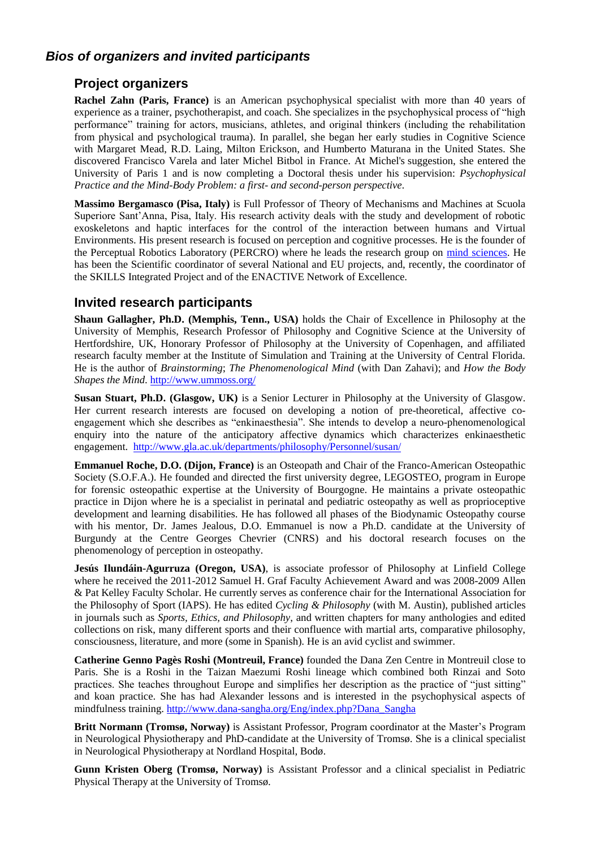# *Bios of organizers and invited participants*

#### **Project organizers**

**Rachel Zahn (Paris, France)** is an American psychophysical specialist with more than 40 years of experience as a trainer, psychotherapist, and coach. She specializes in the psychophysical process of "high performance" training for actors, musicians, athletes, and original thinkers (including the rehabilitation from physical and psychological trauma). In parallel, she began her early studies in Cognitive Science with Margaret Mead, R.D. Laing, Milton Erickson, and Humberto Maturana in the United States. She discovered Francisco Varela and later Michel Bitbol in France. At Michel's suggestion, she entered the University of Paris 1 and is now completing a Doctoral thesis under his supervision: *Psychophysical Practice and the Mind-Body Problem: a first- and second-person perspective*.

**Massimo Bergamasco (Pisa, Italy)** is Full Professor of Theory of Mechanisms and Machines at Scuola Superiore Sant'Anna, Pisa, Italy. His research activity deals with the study and development of robotic exoskeletons and haptic interfaces for the control of the interaction between humans and Virtual Environments. His present research is focused on perception and cognitive processes. He is the founder of the Perceptual Robotics Laboratory (PERCRO) where he leads the research group on [mind sciences.](http://www.percro.org/research_MS_bergamasco.html) He has been the Scientific coordinator of several National and EU projects, and, recently, the coordinator of the SKILLS Integrated Project and of the ENACTIVE Network of Excellence.

#### **Invited research participants**

**Shaun Gallagher, Ph.D. (Memphis, Tenn., USA)** holds the Chair of Excellence in Philosophy at the University of Memphis, Research Professor of Philosophy and Cognitive Science at the University of Hertfordshire, UK, Honorary Professor of Philosophy at the University of Copenhagen, and affiliated research faculty member at the Institute of Simulation and Training at the University of Central Florida. He is the author of *Brainstorming*; *The Phenomenological Mind* (with Dan Zahavi); and *How the Body Shapes the Mind*.<http://www.ummoss.org/>

**Susan Stuart, Ph.D. (Glasgow, UK)** is a Senior Lecturer in Philosophy at the University of Glasgow. Her current research interests are focused on developing a notion of pre-theoretical, affective coengagement which she describes as "enkinaesthesia". She intends to develop a neuro-phenomenological enquiry into the nature of the anticipatory affective dynamics which characterizes enkinaesthetic engagement. <http://www.gla.ac.uk/departments/philosophy/Personnel/susan/>

**Emmanuel Roche, D.O. (Dijon, France)** is an Osteopath and Chair of the Franco-American Osteopathic Society (S.O.F.A.). He founded and directed the first university degree, LEGOSTEO, program in Europe for forensic osteopathic expertise at the University of Bourgogne. He maintains a private osteopathic practice in Dijon where he is a specialist in perinatal and pediatric osteopathy as well as proprioceptive development and learning disabilities. He has followed all phases of the Biodynamic Osteopathy course with his mentor, Dr. James Jealous, D.O. Emmanuel is now a Ph.D. candidate at the University of Burgundy at the Centre Georges Chevrier (CNRS) and his doctoral research focuses on the phenomenology of perception in osteopathy.

**Jesús Ilundáin-Agurruza (Oregon, USA)**, is associate professor of Philosophy at Linfield College where he received the 2011-2012 Samuel H. Graf Faculty Achievement Award and was 2008-2009 Allen & Pat Kelley Faculty Scholar. He currently serves as conference chair for the International Association for the Philosophy of Sport (IAPS). He has edited *Cycling & Philosophy* (with M. Austin), published articles in journals such as *Sports, Ethics, and Philosophy*, and written chapters for many anthologies and edited collections on risk, many different sports and their confluence with martial arts, comparative philosophy, consciousness, literature, and more (some in Spanish). He is an avid cyclist and swimmer.

**Catherine Genno Pagès Roshi (Montreuil, France)** founded the Dana Zen Centre in Montreuil close to Paris. She is a Roshi in the Taizan Maezumi Roshi lineage which combined both Rinzai and Soto practices. She teaches throughout Europe and simplifies her description as the practice of "just sitting" and koan practice. She has had Alexander lessons and is interested in the psychophysical aspects of mindfulness training. [http://www.dana-sangha.org/Eng/index.php?Dana\\_Sangha](http://www.dana-sangha.org/Eng/index.php?Dana_Sangha)

**Britt Normann (Tromsø, Norway)** is Assistant Professor, Program coordinator at the Master's Program in Neurological Physiotherapy and PhD-candidate at the University of Tromsø. She is a clinical specialist in Neurological Physiotherapy at Nordland Hospital, Bodø.

**Gunn Kristen Oberg (Tromsø, Norway)** is Assistant Professor and a clinical specialist in Pediatric Physical Therapy at the University of Tromsø.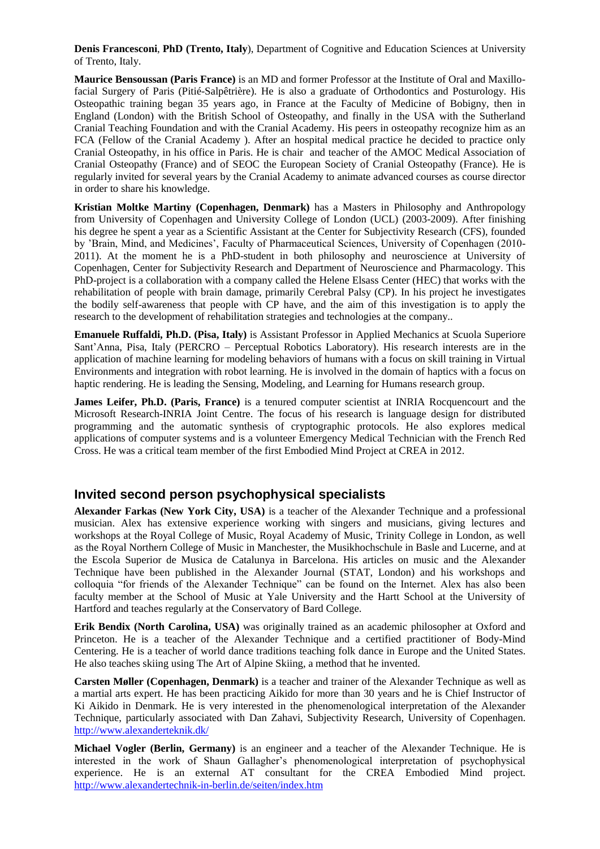**Denis Francesconi**, **PhD (Trento, Italy**), Department of Cognitive and Education Sciences at University of Trento, Italy.

**Maurice Bensoussan (Paris France)** is an MD and former Professor at the Institute of Oral and Maxillofacial Surgery of Paris (Pitié-Salpêtrière). He is also a graduate of Orthodontics and Posturology. His Osteopathic training began 35 years ago, in France at the Faculty of Medicine of Bobigny, then in England (London) with the British School of Osteopathy, and finally in the USA with the Sutherland Cranial Teaching Foundation and with the Cranial Academy. His peers in osteopathy recognize him as an FCA (Fellow of the Cranial Academy ). After an hospital medical practice he decided to practice only Cranial Osteopathy, in his office in Paris. He is chair and teacher of the AMOC Medical Association of Cranial Osteopathy (France) and of SEOC the European Society of Cranial Osteopathy (France). He is regularly invited for several years by the Cranial Academy to animate advanced courses as course director in order to share his knowledge.

**Kristian Moltke Martiny (Copenhagen, Denmark)** has a Masters in Philosophy and Anthropology from University of Copenhagen and University College of London (UCL) (2003-2009). After finishing his degree he spent a year as a Scientific Assistant at the Center for Subjectivity Research (CFS), founded by 'Brain, Mind, and Medicines', Faculty of Pharmaceutical Sciences, University of Copenhagen (2010- 2011). At the moment he is a PhD-student in both philosophy and neuroscience at University of Copenhagen, Center for Subjectivity Research and Department of Neuroscience and Pharmacology. This PhD-project is a collaboration with a company called the Helene Elsass Center (HEC) that works with the rehabilitation of people with brain damage, primarily Cerebral Palsy (CP). In his project he investigates the bodily self-awareness that people with CP have, and the aim of this investigation is to apply the research to the development of rehabilitation strategies and technologies at the company..

**Emanuele Ruffaldi, Ph.D. (Pisa, Italy)** is Assistant Professor in Applied Mechanics at Scuola Superiore Sant'Anna, Pisa, Italy (PERCRO – Perceptual Robotics Laboratory). His research interests are in the application of machine learning for modeling behaviors of humans with a focus on skill training in Virtual Environments and integration with robot learning. He is involved in the domain of haptics with a focus on haptic rendering. He is leading the Sensing, Modeling, and Learning for Humans research group.

**James Leifer, Ph.D. (Paris, France)** is a tenured computer scientist at INRIA Rocquencourt and the Microsoft Research-INRIA Joint Centre. The focus of his research is language design for distributed programming and the automatic synthesis of cryptographic protocols. He also explores medical applications of computer systems and is a volunteer Emergency Medical Technician with the French Red Cross. He was a critical team member of the first Embodied Mind Project at CREA in 2012.

#### **Invited second person psychophysical specialists**

**Alexander Farkas (New York City, USA)** is a teacher of the Alexander Technique and a professional musician. Alex has extensive experience working with singers and musicians, giving lectures and workshops at the Royal College of Music, Royal Academy of Music, Trinity College in London, as well as the Royal Northern College of Music in Manchester, the Musikhochschule in Basle and Lucerne, and at the Escola Superior de Musica de Catalunya in Barcelona. His articles on music and the Alexander Technique have been published in the Alexander Journal (STAT, London) and his workshops and colloquia "for friends of the Alexander Technique" can be found on the Internet. Alex has also been faculty member at the School of Music at Yale University and the Hartt School at the University of Hartford and teaches regularly at the Conservatory of Bard College.

**Erik Bendix (North Carolina, USA)** was originally trained as an academic philosopher at Oxford and Princeton. He is a teacher of the Alexander Technique and a certified practitioner of Body-Mind Centering. He is a teacher of world dance traditions teaching folk dance in Europe and the United States. He also teaches skiing using The Art of Alpine Skiing, a method that he invented.

**Carsten Møller (Copenhagen, Denmark)** is a teacher and trainer of the Alexander Technique as well as a martial arts expert. He has been practicing Aikido for more than 30 years and he is Chief Instructor of Ki Aikido in Denmark. He is very interested in the phenomenological interpretation of the Alexander Technique, particularly associated with Dan Zahavi, Subjectivity Research, University of Copenhagen. <http://www.alexanderteknik.dk/>

**Michael Vogler (Berlin, Germany)** is an engineer and a teacher of the Alexander Technique. He is interested in the work of Shaun Gallagher's phenomenological interpretation of psychophysical experience. He is an external AT consultant for the CREA Embodied Mind project. <http://www.alexandertechnik-in-berlin.de/seiten/index.htm>